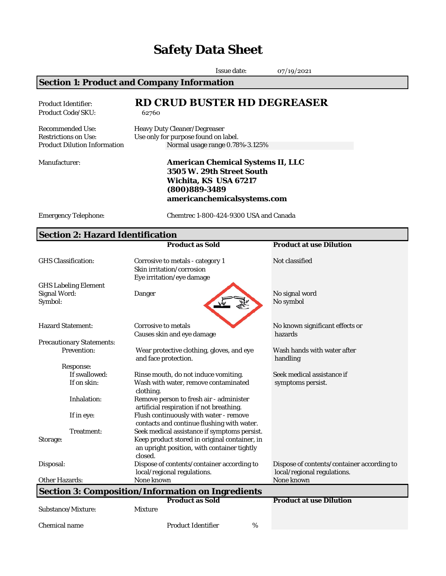# **Safety Data Sheet**

|                                                                                               | Issue date:                                                                                                                                             | 07/19/2021                                                                |  |  |
|-----------------------------------------------------------------------------------------------|---------------------------------------------------------------------------------------------------------------------------------------------------------|---------------------------------------------------------------------------|--|--|
|                                                                                               | <b>Section 1: Product and Company Information</b>                                                                                                       |                                                                           |  |  |
| <b>Product Identifier:</b><br>Product Code/SKU:                                               | <b>RD CRUD BUSTER HD DEGREASER</b><br>62760                                                                                                             |                                                                           |  |  |
| <b>Recommended Use:</b><br><b>Restrictions on Use:</b><br><b>Product Dilution Information</b> | Heavy Duty Cleaner/Degreaser<br>Use only for purpose found on label.<br>Normal usage range 0.78%-3.125%                                                 |                                                                           |  |  |
| Manufacturer:                                                                                 | <b>American Chemical Systems II, LLC</b><br>3505 W. 29th Street South<br>Wichita, KS USA 67217<br>$(800)889 - 3489$<br>americanchemicalsystems.com      |                                                                           |  |  |
| <b>Emergency Telephone:</b>                                                                   | Chemtrec 1-800-424-9300 USA and Canada                                                                                                                  |                                                                           |  |  |
| <b>Section 2: Hazard Identification</b>                                                       |                                                                                                                                                         |                                                                           |  |  |
|                                                                                               | <b>Product as Sold</b>                                                                                                                                  | <b>Product at use Dilution</b>                                            |  |  |
| <b>GHS</b> Classification:                                                                    | Corrosive to metals - category 1<br>Skin irritation/corrosion<br>Eye irritation/eye damage                                                              | Not classified                                                            |  |  |
| <b>GHS Labeling Element</b><br><b>Signal Word:</b><br>Symbol:                                 | <b>Danger</b>                                                                                                                                           | No signal word<br>No symbol                                               |  |  |
| <b>Hazard Statement:</b>                                                                      | Corrosive to metals<br>Causes skin and eye damage                                                                                                       | No known significant effects or<br>hazards                                |  |  |
| <b>Precautionary Statements:</b>                                                              |                                                                                                                                                         |                                                                           |  |  |
| <b>Prevention:</b>                                                                            | Wear protective clothing, gloves, and eye<br>and face protection.                                                                                       | Wash hands with water after<br>handling                                   |  |  |
| Response:                                                                                     |                                                                                                                                                         |                                                                           |  |  |
| If swallowed:<br>If on skin:                                                                  | Rinse mouth, do not induce vomiting.<br>Wash with water, remove contaminated<br>clothing.                                                               | Seek medical assistance if<br>symptoms persist.                           |  |  |
| Inhalation:                                                                                   | Remove person to fresh air - administer<br>artificial respiration if not breathing.                                                                     |                                                                           |  |  |
| If in eye:                                                                                    | Flush continuously with water - remove<br>contacts and continue flushing with water.                                                                    |                                                                           |  |  |
| Treatment:<br>Storage:                                                                        | Seek medical assistance if symptoms persist.<br>Keep product stored in original container, in<br>an upright position, with container tightly<br>closed. |                                                                           |  |  |
| Disposal:                                                                                     | Dispose of contents/container according to<br>local/regional regulations.                                                                               | Dispose of contents/container according to<br>local/regional regulations. |  |  |
| <b>Other Hazards:</b>                                                                         | None known                                                                                                                                              | None known                                                                |  |  |
|                                                                                               | <b>Section 3: Composition/Information on Ingredients</b>                                                                                                |                                                                           |  |  |
|                                                                                               | <b>Product as Sold</b>                                                                                                                                  | <b>Product at use Dilution</b>                                            |  |  |
| Substance/Mixture:                                                                            | <b>Mixture</b>                                                                                                                                          |                                                                           |  |  |

Chemical name Product Identifier  $\%$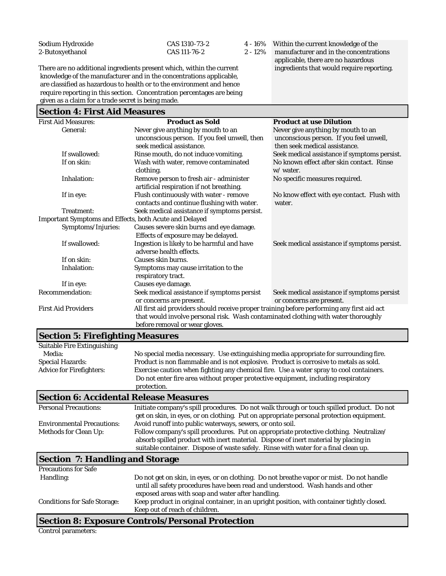| Sodium Hydroxide |
|------------------|
| 2-Butoxyethanol  |

CAS 1310-73-2 4 - 16% Within the current knowledge of the CAS 111-76-2 2 - 12% manufacturer and in the concentration manufacturer and in the concentrations applicable, there are no hazardous

There are no additional ingredients present which, within the current knowledge of the manufacturer and in the concentrations applicable, are classified as hazardous to health or to the environment and hence require reporting in this section. Concentration percentages are being given as a claim for a trade secret is being made.

#### **Section 4: First Aid Measures**

| Never give anything by mouth to an<br>Never give anything by mouth to an<br>General:<br>unconscious person. If you feel unwell, then<br>unconscious person. If you feel unwell,<br>seek medical assistance.<br>then seek medical assistance.<br>If swallowed:<br>Rinse mouth, do not induce vomiting.<br>Seek medical assistance if symptoms persist.<br>No known effect after skin contact. Rinse<br>If on skin:<br>Wash with water, remove contaminated<br>clothing.<br>w/ water.<br>Inhalation:<br>Remove person to fresh air - administer<br>No specific measures required.<br>artificial respiration if not breathing.<br>Flush continuously with water - remove<br>No know effect with eye contact. Flush with<br>If in eye:<br>contacts and continue flushing with water.<br>water.<br>Seek medical assistance if symptoms persist.<br>Treatment:<br>Important Symptoms and Effects, both Acute and Delayed<br>Causes severe skin burns and eye damage.<br>Symptoms/Injuries:<br>Effects of exposure may be delayed.<br>Ingestion is likely to be harmful and have<br>If swallowed:<br>Seek medical assistance if symptoms persist.<br>adverse health effects.<br>If on skin:<br>Causes skin burns.<br>Inhalation:<br>Symptoms may cause irritation to the<br>respiratory tract.<br>Causes eye damage.<br>If in eye:<br>Recommendation:<br>Seek medical assistance if symptoms persist<br>Seek medical assistance if symptoms persist<br>or concerns are present.<br>or concerns are present.<br><b>First Aid Providers</b><br>All first aid providers should receive proper training before performing any first aid act<br>that would involve personal risk. Wash contaminated clothing with water thoroughly<br>before removal or wear gloves. | <b>First Aid Measures:</b> | <b>Product as Sold</b> | <b>Product at use Dilution</b> |
|----------------------------------------------------------------------------------------------------------------------------------------------------------------------------------------------------------------------------------------------------------------------------------------------------------------------------------------------------------------------------------------------------------------------------------------------------------------------------------------------------------------------------------------------------------------------------------------------------------------------------------------------------------------------------------------------------------------------------------------------------------------------------------------------------------------------------------------------------------------------------------------------------------------------------------------------------------------------------------------------------------------------------------------------------------------------------------------------------------------------------------------------------------------------------------------------------------------------------------------------------------------------------------------------------------------------------------------------------------------------------------------------------------------------------------------------------------------------------------------------------------------------------------------------------------------------------------------------------------------------------------------------------------------------------------------------------------------------------------------------------------|----------------------------|------------------------|--------------------------------|
|                                                                                                                                                                                                                                                                                                                                                                                                                                                                                                                                                                                                                                                                                                                                                                                                                                                                                                                                                                                                                                                                                                                                                                                                                                                                                                                                                                                                                                                                                                                                                                                                                                                                                                                                                          |                            |                        |                                |
|                                                                                                                                                                                                                                                                                                                                                                                                                                                                                                                                                                                                                                                                                                                                                                                                                                                                                                                                                                                                                                                                                                                                                                                                                                                                                                                                                                                                                                                                                                                                                                                                                                                                                                                                                          |                            |                        |                                |
|                                                                                                                                                                                                                                                                                                                                                                                                                                                                                                                                                                                                                                                                                                                                                                                                                                                                                                                                                                                                                                                                                                                                                                                                                                                                                                                                                                                                                                                                                                                                                                                                                                                                                                                                                          |                            |                        |                                |
|                                                                                                                                                                                                                                                                                                                                                                                                                                                                                                                                                                                                                                                                                                                                                                                                                                                                                                                                                                                                                                                                                                                                                                                                                                                                                                                                                                                                                                                                                                                                                                                                                                                                                                                                                          |                            |                        |                                |
|                                                                                                                                                                                                                                                                                                                                                                                                                                                                                                                                                                                                                                                                                                                                                                                                                                                                                                                                                                                                                                                                                                                                                                                                                                                                                                                                                                                                                                                                                                                                                                                                                                                                                                                                                          |                            |                        |                                |
|                                                                                                                                                                                                                                                                                                                                                                                                                                                                                                                                                                                                                                                                                                                                                                                                                                                                                                                                                                                                                                                                                                                                                                                                                                                                                                                                                                                                                                                                                                                                                                                                                                                                                                                                                          |                            |                        |                                |
|                                                                                                                                                                                                                                                                                                                                                                                                                                                                                                                                                                                                                                                                                                                                                                                                                                                                                                                                                                                                                                                                                                                                                                                                                                                                                                                                                                                                                                                                                                                                                                                                                                                                                                                                                          |                            |                        |                                |
|                                                                                                                                                                                                                                                                                                                                                                                                                                                                                                                                                                                                                                                                                                                                                                                                                                                                                                                                                                                                                                                                                                                                                                                                                                                                                                                                                                                                                                                                                                                                                                                                                                                                                                                                                          |                            |                        |                                |
|                                                                                                                                                                                                                                                                                                                                                                                                                                                                                                                                                                                                                                                                                                                                                                                                                                                                                                                                                                                                                                                                                                                                                                                                                                                                                                                                                                                                                                                                                                                                                                                                                                                                                                                                                          |                            |                        |                                |
|                                                                                                                                                                                                                                                                                                                                                                                                                                                                                                                                                                                                                                                                                                                                                                                                                                                                                                                                                                                                                                                                                                                                                                                                                                                                                                                                                                                                                                                                                                                                                                                                                                                                                                                                                          |                            |                        |                                |
|                                                                                                                                                                                                                                                                                                                                                                                                                                                                                                                                                                                                                                                                                                                                                                                                                                                                                                                                                                                                                                                                                                                                                                                                                                                                                                                                                                                                                                                                                                                                                                                                                                                                                                                                                          |                            |                        |                                |
|                                                                                                                                                                                                                                                                                                                                                                                                                                                                                                                                                                                                                                                                                                                                                                                                                                                                                                                                                                                                                                                                                                                                                                                                                                                                                                                                                                                                                                                                                                                                                                                                                                                                                                                                                          |                            |                        |                                |
|                                                                                                                                                                                                                                                                                                                                                                                                                                                                                                                                                                                                                                                                                                                                                                                                                                                                                                                                                                                                                                                                                                                                                                                                                                                                                                                                                                                                                                                                                                                                                                                                                                                                                                                                                          |                            |                        |                                |
|                                                                                                                                                                                                                                                                                                                                                                                                                                                                                                                                                                                                                                                                                                                                                                                                                                                                                                                                                                                                                                                                                                                                                                                                                                                                                                                                                                                                                                                                                                                                                                                                                                                                                                                                                          |                            |                        |                                |
|                                                                                                                                                                                                                                                                                                                                                                                                                                                                                                                                                                                                                                                                                                                                                                                                                                                                                                                                                                                                                                                                                                                                                                                                                                                                                                                                                                                                                                                                                                                                                                                                                                                                                                                                                          |                            |                        |                                |
|                                                                                                                                                                                                                                                                                                                                                                                                                                                                                                                                                                                                                                                                                                                                                                                                                                                                                                                                                                                                                                                                                                                                                                                                                                                                                                                                                                                                                                                                                                                                                                                                                                                                                                                                                          |                            |                        |                                |
|                                                                                                                                                                                                                                                                                                                                                                                                                                                                                                                                                                                                                                                                                                                                                                                                                                                                                                                                                                                                                                                                                                                                                                                                                                                                                                                                                                                                                                                                                                                                                                                                                                                                                                                                                          |                            |                        |                                |
|                                                                                                                                                                                                                                                                                                                                                                                                                                                                                                                                                                                                                                                                                                                                                                                                                                                                                                                                                                                                                                                                                                                                                                                                                                                                                                                                                                                                                                                                                                                                                                                                                                                                                                                                                          |                            |                        |                                |
|                                                                                                                                                                                                                                                                                                                                                                                                                                                                                                                                                                                                                                                                                                                                                                                                                                                                                                                                                                                                                                                                                                                                                                                                                                                                                                                                                                                                                                                                                                                                                                                                                                                                                                                                                          |                            |                        |                                |
|                                                                                                                                                                                                                                                                                                                                                                                                                                                                                                                                                                                                                                                                                                                                                                                                                                                                                                                                                                                                                                                                                                                                                                                                                                                                                                                                                                                                                                                                                                                                                                                                                                                                                                                                                          |                            |                        |                                |
|                                                                                                                                                                                                                                                                                                                                                                                                                                                                                                                                                                                                                                                                                                                                                                                                                                                                                                                                                                                                                                                                                                                                                                                                                                                                                                                                                                                                                                                                                                                                                                                                                                                                                                                                                          |                            |                        |                                |
|                                                                                                                                                                                                                                                                                                                                                                                                                                                                                                                                                                                                                                                                                                                                                                                                                                                                                                                                                                                                                                                                                                                                                                                                                                                                                                                                                                                                                                                                                                                                                                                                                                                                                                                                                          |                            |                        |                                |
|                                                                                                                                                                                                                                                                                                                                                                                                                                                                                                                                                                                                                                                                                                                                                                                                                                                                                                                                                                                                                                                                                                                                                                                                                                                                                                                                                                                                                                                                                                                                                                                                                                                                                                                                                          |                            |                        |                                |
|                                                                                                                                                                                                                                                                                                                                                                                                                                                                                                                                                                                                                                                                                                                                                                                                                                                                                                                                                                                                                                                                                                                                                                                                                                                                                                                                                                                                                                                                                                                                                                                                                                                                                                                                                          |                            |                        |                                |
|                                                                                                                                                                                                                                                                                                                                                                                                                                                                                                                                                                                                                                                                                                                                                                                                                                                                                                                                                                                                                                                                                                                                                                                                                                                                                                                                                                                                                                                                                                                                                                                                                                                                                                                                                          |                            |                        |                                |

### **Section 5: Firefighting Measures**

| <b>Suitable Fire Extinguishing</b>            |                                                                                                                                                                                                                                                                      |
|-----------------------------------------------|----------------------------------------------------------------------------------------------------------------------------------------------------------------------------------------------------------------------------------------------------------------------|
| Media:                                        | No special media necessary. Use extinguishing media appropriate for surrounding fire.                                                                                                                                                                                |
| <b>Special Hazards:</b>                       | Product is non flammable and is not explosive. Product is corrosive to metals as sold.                                                                                                                                                                               |
| <b>Advice for Firefighters:</b>               | Exercise caution when fighting any chemical fire. Use a water spray to cool containers.                                                                                                                                                                              |
|                                               | Do not enter fire area without proper protective equipment, including respiratory<br>protection.                                                                                                                                                                     |
| <b>Section 6: Accidental Release Measures</b> |                                                                                                                                                                                                                                                                      |
| <b>Personal Precautions:</b>                  | Initiate company's spill procedures. Do not walk through or touch spilled product. Do not<br>get on skin, in eyes, or on clothing. Put on appropriate personal protection equipment.                                                                                 |
| <b>Environmental Precautions:</b>             | Avoid runoff into public waterways, sewers, or onto soil.                                                                                                                                                                                                            |
| <b>Methods for Clean Up:</b>                  | Follow company's spill procedures. Put on appropriate protective clothing. Neutralize/<br>absorb spilled product with inert material. Dispose of inert material by placing in<br>suitable container. Dispose of waste safely. Rinse with water for a final clean up. |
| <b>Section 7: Handling and Storage</b>        |                                                                                                                                                                                                                                                                      |
| <b>Precautions for Safe</b>                   |                                                                                                                                                                                                                                                                      |
| Handling:                                     | Do not get on skin, in eyes, or on clothing. Do not breathe vapor or mist. Do not handle<br>until all safety procedures have been read and understood. Wash hands and other<br>exposed areas with soap and water after handling.                                     |
| <b>Conditions for Safe Storage:</b>           | Keep product in original container, in an upright position, with container tightly closed.<br>Keep out of reach of children.                                                                                                                                         |

#### **Section 8: Exposure Controls/Personal Protection**

Control parameters: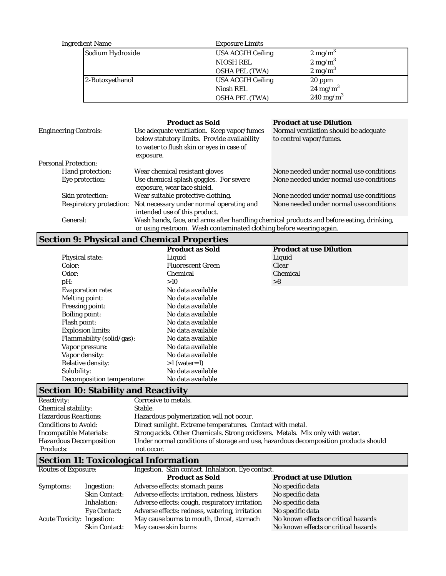| Ingredient Name  | <b>Exposure Limits</b>   |                      |
|------------------|--------------------------|----------------------|
| Sodium Hydroxide | <b>USA ACGIH Ceiling</b> | $2 \text{ mg/m}^3$   |
|                  | <b>NIOSH REL</b>         | $2 \text{ mg/m}^3$   |
|                  | <b>OSHA PEL (TWA)</b>    | $2 \text{ mg/m}^3$   |
| 2-Butoxyethanol  | <b>USA ACGIH Ceiling</b> | 20 ppm               |
|                  | Niosh REL                | $24 \text{ mg/m}^3$  |
|                  | <b>OSHA PEL (TWA)</b>    | $240 \text{ mg/m}^3$ |

| <b>Engineering Controls:</b>   | <b>Product as Sold</b><br>Use adequate ventilation. Keep vapor/fumes<br>below statutory limits. Provide availability<br>to water to flush skin or eyes in case of<br>exposure. | <b>Product at use Dilution</b><br>Normal ventilation should be adequate<br>to control vapor/fumes. |  |
|--------------------------------|--------------------------------------------------------------------------------------------------------------------------------------------------------------------------------|----------------------------------------------------------------------------------------------------|--|
| <b>Personal Protection:</b>    |                                                                                                                                                                                |                                                                                                    |  |
| Hand protection:               | Wear chemical resistant gloves                                                                                                                                                 | None needed under normal use conditions                                                            |  |
| Eye protection:                | Use chemical splash goggles. For severe<br>exposure, wear face shield.                                                                                                         | None needed under normal use conditions                                                            |  |
| Skin protection:               | Wear suitable protective clothing.                                                                                                                                             | None needed under normal use conditions                                                            |  |
| <b>Respiratory protection:</b> | Not necessary under normal operating and<br>intended use of this product.                                                                                                      | None needed under normal use conditions                                                            |  |
| General:                       | Wash hands, face, and arms after handling chemical products and before eating, drinking,<br>or using restroom. Wash contaminated clothing before wearing again.                |                                                                                                    |  |

## **Section 9: Physical and Chemical Properties**

|                            | <b>Product as Sold</b>   | <b>Product at use Dilution</b> |
|----------------------------|--------------------------|--------------------------------|
| <b>Physical state:</b>     | Liquid                   | Liquid                         |
| Color:                     | <b>Fluorescent Green</b> | Clear                          |
| Odor:                      | Chemical                 | Chemical                       |
| $pH$ :                     | >10                      | >8                             |
| <b>Evaporation rate:</b>   | No data available        |                                |
| Melting point:             | No data available        |                                |
| <b>Freezing point:</b>     | No data available        |                                |
| <b>Boiling point:</b>      | No data available        |                                |
| Flash point:               | No data available        |                                |
| <b>Explosion limits:</b>   | No data available        |                                |
| Flammability (solid/gas):  | No data available        |                                |
| Vapor pressure:            | No data available        |                                |
| Vapor density:             | No data available        |                                |
| <b>Relative density:</b>   | $>1$ (water=1)           |                                |
| Solubility:                | No data available        |                                |
| Decomposition temperature: | No data available        |                                |

# **Section 10: Stability and Reactivity**

| <b>Reactivity:</b>             |                                                   | Corrosive to metals.                                                                |                                |  |
|--------------------------------|---------------------------------------------------|-------------------------------------------------------------------------------------|--------------------------------|--|
| <b>Chemical stability:</b>     |                                                   | Stable.                                                                             |                                |  |
| <b>Hazardous Reactions:</b>    |                                                   | Hazardous polymerization will not occur.                                            |                                |  |
| <b>Conditions to Avoid:</b>    |                                                   | Direct sunlight. Extreme temperatures. Contact with metal.                          |                                |  |
| <b>Incompatible Materials:</b> |                                                   | Strong acids. Other Chemicals. Strong oxidizers. Metals. Mix only with water.       |                                |  |
| <b>Hazardous Decomposition</b> |                                                   | Under normal conditions of storage and use, hazardous decomposition products should |                                |  |
| <b>Products:</b>               |                                                   | not occur.                                                                          |                                |  |
|                                |                                                   | <b>Section 11: Toxicological Information</b>                                        |                                |  |
| <b>Routes of Exposure:</b>     | Ingestion. Skin contact. Inhalation. Eye contact. |                                                                                     |                                |  |
|                                |                                                   | <b>Product as Sold</b>                                                              | <b>Product at use Dilution</b> |  |
| Symptoms:                      | Ingestion:                                        | Adverse effects: stomach pains                                                      | No specific data               |  |
|                                | <b>Skin Contact:</b>                              | Adverse effects: irritation, redness, blisters                                      | No specific data               |  |
|                                | Inhalation:                                       | Adverse effects: cough, respiratory irritation                                      | No specific data               |  |

No known effects or critical hazards

Eye Contact: Adverse effects: redness, watering, irritation No specific data<br>Acute Toxicity: Ingestion: May cause burns to mouth, throat, stomach No known effects or critical hazards

Ingestion: May cause burns to mouth, throat, stomach Skin Contact: May cause skin burns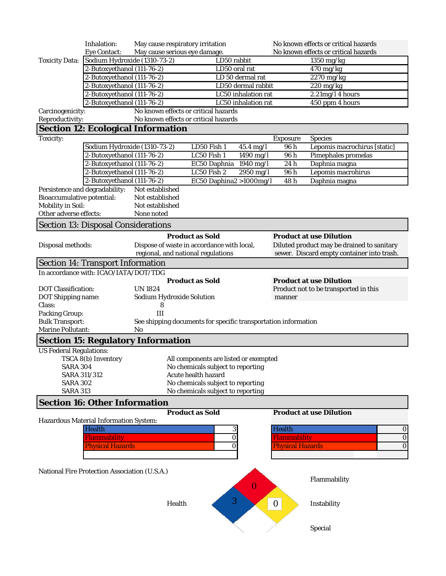|                                     | Inhalation:                                              |                 | May cause respiratory irritation                                             |                          | No known effects or critical hazards |                                            |
|-------------------------------------|----------------------------------------------------------|-----------------|------------------------------------------------------------------------------|--------------------------|--------------------------------------|--------------------------------------------|
|                                     | <b>Eye Contact:</b>                                      |                 | May cause serious eye damage.                                                |                          |                                      | No known effects or critical hazards       |
| <b>Toxicity Data:</b>               | Sodium Hydroxide (1310-73-2)                             |                 |                                                                              | LD50 rabbit              |                                      | 1350 mg/kg                                 |
|                                     | 2-Butoxyethanol (111-76-2)                               |                 |                                                                              | LD50 oral rat            |                                      | $470$ mg/kg                                |
|                                     | 2-Butoxyethanol (111-76-2)                               |                 |                                                                              | LD 50 dermal rat         |                                      | 2270 mg/kg                                 |
|                                     | 2-Butoxyethanol (111-76-2)                               |                 |                                                                              | LD50 dermal rabbit       |                                      | $220 \,\mathrm{mg/kg}$                     |
|                                     | 2-Butoxyethanol (111-76-2)                               |                 |                                                                              | LC50 inhalation rat      |                                      | $2.21$ mg/l 4 hours                        |
|                                     | 2-Butoxyethanol (111-76-2)                               |                 |                                                                              | LC50 inhalation rat      |                                      | 450 ppm 4 hours                            |
| Carcinogenicity:                    |                                                          |                 | No known effects or critical hazards<br>No known effects or critical hazards |                          |                                      |                                            |
| Reproductivity:                     | <b>Section 12: Ecological Information</b>                |                 |                                                                              |                          |                                      |                                            |
|                                     |                                                          |                 |                                                                              |                          |                                      |                                            |
| Toxicity:                           |                                                          |                 |                                                                              |                          | <b>Exposure</b>                      | <b>Species</b>                             |
|                                     | Sodium Hydroxide (1310-73-2)                             |                 | LD50 Fish 1                                                                  | 45.4 mg/l                | 96 h                                 | Lepomis macrochirus [static]               |
|                                     | 2-Butoxyethanol (111-76-2)<br>2-Butoxyethanol (111-76-2) |                 | LC50 Fish 1                                                                  | 1490 mg/l<br>$1940$ mg/l | 96 h<br>24h                          | Pimephales promelas                        |
|                                     | 2-Butoxyethanol (111-76-2)                               |                 | EC50 Daphnia<br>LC50 Fish 2                                                  | 2950 mg/l                | 96 h                                 | Daphnia magna<br>Lepomis macrohirus        |
|                                     | 2-Butoxyethanol (111-76-2)                               |                 |                                                                              | EC50 Daphina2 >1000mg/l  | 48 h                                 | Daphnia magna                              |
| Persistence and degradability:      |                                                          | Not established |                                                                              |                          |                                      |                                            |
| <b>Bioaccumulative potential:</b>   |                                                          | Not established |                                                                              |                          |                                      |                                            |
| <b>Mobility in Soil:</b>            |                                                          | Not established |                                                                              |                          |                                      |                                            |
| Other adverse effects:              |                                                          | None noted      |                                                                              |                          |                                      |                                            |
|                                     | <b>Section 13: Disposal Considerations</b>               |                 |                                                                              |                          |                                      |                                            |
|                                     |                                                          |                 |                                                                              |                          |                                      |                                            |
|                                     |                                                          |                 | <b>Product as Sold</b>                                                       |                          |                                      | <b>Product at use Dilution</b>             |
| Disposal methods:                   |                                                          |                 | Dispose of waste in accordance with local,                                   |                          |                                      | Diluted product may be drained to sanitary |
|                                     |                                                          |                 | regional, and national regulations                                           |                          |                                      | sewer. Discard empty container into trash. |
|                                     | <b>Section 14: Transport Information</b>                 |                 |                                                                              |                          |                                      |                                            |
|                                     | In accordance with: ICAO/IATA/DOT/TDG                    |                 |                                                                              |                          |                                      |                                            |
|                                     |                                                          |                 | <b>Product as Sold</b>                                                       |                          |                                      | <b>Product at use Dilution</b>             |
| <b>DOT</b> Classification:          |                                                          | <b>UN1824</b>   |                                                                              |                          |                                      | Product not to be transported in this      |
| <b>DOT Shipping name:</b><br>Class: |                                                          | 8               | Sodium Hydroxide Solution                                                    |                          | manner                               |                                            |
| <b>Packing Group:</b>               |                                                          | Ш               |                                                                              |                          |                                      |                                            |
| <b>Bulk Transport:</b>              |                                                          |                 | See shipping documents for specific transportation information               |                          |                                      |                                            |
| <b>Marine Pollutant:</b>            |                                                          | N <sub>0</sub>  |                                                                              |                          |                                      |                                            |
|                                     | <b>Section 15: Regulatory Information</b>                |                 |                                                                              |                          |                                      |                                            |
|                                     |                                                          |                 |                                                                              |                          |                                      |                                            |
|                                     |                                                          |                 |                                                                              |                          |                                      |                                            |
| <b>US Federal Regulations:</b>      |                                                          |                 |                                                                              |                          |                                      |                                            |
|                                     | TSCA 8(b) Inventory                                      |                 | All components are listed or exempted                                        |                          |                                      |                                            |
| <b>SARA 304</b>                     |                                                          |                 | No chemicals subject to reporting                                            |                          |                                      |                                            |
| SARA 311/312                        |                                                          |                 | Acute health hazard                                                          |                          |                                      |                                            |
| <b>SARA 302</b>                     |                                                          |                 | No chemicals subject to reporting                                            |                          |                                      |                                            |
| <b>SARA 313</b>                     |                                                          |                 | No chemicals subject to reporting                                            |                          |                                      |                                            |
|                                     | <b>Section 16: Other Information</b>                     |                 |                                                                              |                          |                                      |                                            |
|                                     |                                                          |                 | <b>Product as Sold</b>                                                       |                          |                                      | <b>Product at use Dilution</b>             |
|                                     | Hazardous Material Information System:                   |                 |                                                                              |                          |                                      |                                            |
|                                     | <b>Health</b>                                            |                 |                                                                              | 3                        | Health                               | $\bf{0}$                                   |
|                                     | <b>Flammability</b>                                      |                 |                                                                              | 0                        | <b>Flammability</b>                  | $\bf{0}$                                   |
|                                     | <b>Physical Hazards</b>                                  |                 |                                                                              | 0                        | <b>Physical Hazards</b>              | $\overline{0}$                             |
|                                     |                                                          |                 |                                                                              |                          |                                      |                                            |
|                                     | National Fire Protection Association (U.S.A.)            |                 |                                                                              |                          |                                      |                                            |
|                                     |                                                          |                 |                                                                              |                          |                                      | Flammability                               |
|                                     |                                                          |                 |                                                                              | $\overline{0}$           |                                      |                                            |
|                                     |                                                          |                 |                                                                              |                          |                                      |                                            |
|                                     |                                                          |                 | Health                                                                       | 3                        | $\mathbf{0}$                         | Instability                                |
|                                     |                                                          |                 |                                                                              |                          |                                      |                                            |
|                                     |                                                          |                 |                                                                              |                          |                                      | Special                                    |